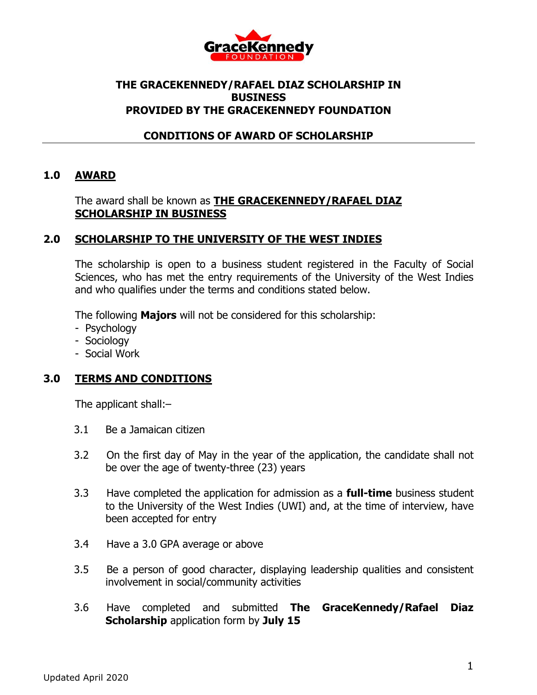

## **THE GRACEKENNEDY/RAFAEL DIAZ SCHOLARSHIP IN BUSINESS PROVIDED BY THE GRACEKENNEDY FOUNDATION**

## **CONDITIONS OF AWARD OF SCHOLARSHIP**

## **1.0 AWARD**

#### The award shall be known as **THE GRACEKENNEDY/RAFAEL DIAZ SCHOLARSHIP IN BUSINESS**

### **2.0 SCHOLARSHIP TO THE UNIVERSITY OF THE WEST INDIES**

The scholarship is open to a business student registered in the Faculty of Social Sciences, who has met the entry requirements of the University of the West Indies and who qualifies under the terms and conditions stated below.

The following **Majors** will not be considered for this scholarship:

- Psychology
- Sociology
- Social Work

#### **3.0 TERMS AND CONDITIONS**

The applicant shall:–

- 3.1 Be a Jamaican citizen
- 3.2 On the first day of May in the year of the application, the candidate shall not be over the age of twenty-three (23) years
- 3.3 Have completed the application for admission as a **full-time** business student to the University of the West Indies (UWI) and, at the time of interview, have been accepted for entry
- 3.4 Have a 3.0 GPA average or above
- 3.5 Be a person of good character, displaying leadership qualities and consistent involvement in social/community activities
- 3.6 Have completed and submitted **The GraceKennedy/Rafael Diaz Scholarship** application form by **July 15**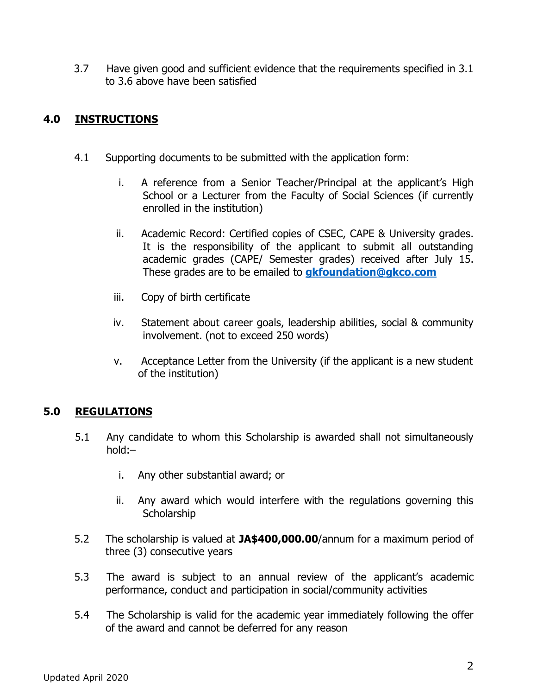3.7 Have given good and sufficient evidence that the requirements specified in 3.1 to 3.6 above have been satisfied

# **4.0 INSTRUCTIONS**

- 4.1 Supporting documents to be submitted with the application form:
	- i. A reference from a Senior Teacher/Principal at the applicant's High School or a Lecturer from the Faculty of Social Sciences (if currently enrolled in the institution)
	- ii. Academic Record: Certified copies of CSEC, CAPE & University grades. It is the responsibility of the applicant to submit all outstanding academic grades (CAPE/ Semester grades) received after July 15. These grades are to be emailed to **[gkfoundation@gkco.com](mailto:gkfoundation@gkco.com)**
	- iii. Copy of birth certificate
	- iv. Statement about career goals, leadership abilities, social & community involvement. (not to exceed 250 words)
	- v. Acceptance Letter from the University (if the applicant is a new student of the institution)

# **5.0 REGULATIONS**

- 5.1 Any candidate to whom this Scholarship is awarded shall not simultaneously hold:–
	- i. Any other substantial award; or
	- ii. Any award which would interfere with the regulations governing this **Scholarship**
- 5.2 The scholarship is valued at **JA\$400,000.00**/annum for a maximum period of three (3) consecutive years
- 5.3 The award is subject to an annual review of the applicant's academic performance, conduct and participation in social/community activities
- 5.4 The Scholarship is valid for the academic year immediately following the offer of the award and cannot be deferred for any reason